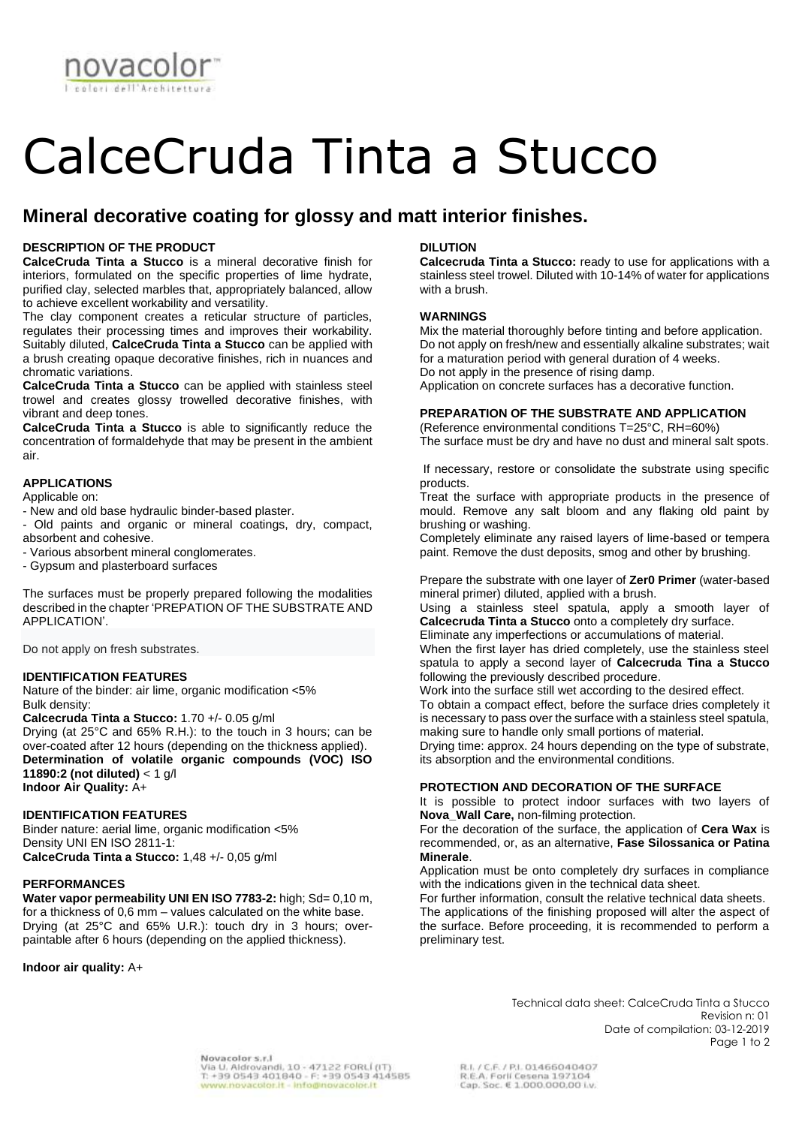

# CalceCruda Tinta a Stucco

# **Mineral decorative coating for glossy and matt interior finishes.**

## **DESCRIPTION OF THE PRODUCT**

**CalceCruda Tinta a Stucco** is a mineral decorative finish for interiors, formulated on the specific properties of lime hydrate, purified clay, selected marbles that, appropriately balanced, allow to achieve excellent workability and versatility.

The clay component creates a reticular structure of particles, regulates their processing times and improves their workability. Suitably diluted, **CalceCruda Tinta a Stucco** can be applied with a brush creating opaque decorative finishes, rich in nuances and chromatic variations.

**CalceCruda Tinta a Stucco** can be applied with stainless steel trowel and creates glossy trowelled decorative finishes, with vibrant and deep tones.

**CalceCruda Tinta a Stucco** is able to significantly reduce the concentration of formaldehyde that may be present in the ambient air.

#### **APPLICATIONS**

Applicable on:

- New and old base hydraulic binder-based plaster.
- Old paints and organic or mineral coatings, dry, compact, absorbent and cohesive.

- Various absorbent mineral conglomerates.

- Gypsum and plasterboard surfaces

The surfaces must be properly prepared following the modalities described in the chapter 'PREPATION OF THE SUBSTRATE AND APPLICATION'.

Do not apply on fresh substrates.

#### **IDENTIFICATION FEATURES**

Nature of the binder: air lime, organic modification <5% Bulk density:

**Calcecruda Tinta a Stucco:** 1.70 +/- 0.05 g/ml

Drying (at 25°C and 65% R.H.): to the touch in 3 hours; can be over-coated after 12 hours (depending on the thickness applied). **Determination of volatile organic compounds (VOC) ISO 11890:2 (not diluted)** < 1 g/l **Indoor Air Quality:** A+

## **IDENTIFICATION FEATURES**

Binder nature: aerial lime, organic modification <5% Density UNI EN ISO 2811-1: **CalceCruda Tinta a Stucco:** 1,48 +/- 0,05 g/ml

## **PERFORMANCES**

**Water vapor permeability UNI EN ISO 7783-2:** high; Sd= 0,10 m, for a thickness of 0,6 mm – values calculated on the white base. Drying (at 25°C and 65% U.R.): touch dry in 3 hours; overpaintable after 6 hours (depending on the applied thickness).

**Indoor air quality:** A+

## **DILUTION**

**Calcecruda Tinta a Stucco:** ready to use for applications with a stainless steel trowel. Diluted with 10-14% of water for applications with a brush.

### **WARNINGS**

Mix the material thoroughly before tinting and before application. Do not apply on fresh/new and essentially alkaline substrates; wait for a maturation period with general duration of 4 weeks. Do not apply in the presence of rising damp. Application on concrete surfaces has a decorative function.

**PREPARATION OF THE SUBSTRATE AND APPLICATION**

(Reference environmental conditions T=25°C, RH=60%)

The surface must be dry and have no dust and mineral salt spots.

If necessary, restore or consolidate the substrate using specific products.

Treat the surface with appropriate products in the presence of mould. Remove any salt bloom and any flaking old paint by brushing or washing.

Completely eliminate any raised layers of lime-based or tempera paint. Remove the dust deposits, smog and other by brushing.

Prepare the substrate with one layer of **Zer0 Primer** (water-based mineral primer) diluted, applied with a brush.

Using a stainless steel spatula, apply a smooth layer of **Calcecruda Tinta a Stucco** onto a completely dry surface.

Eliminate any imperfections or accumulations of material.

When the first layer has dried completely, use the stainless steel spatula to apply a second layer of **Calcecruda Tina a Stucco** following the previously described procedure.

Work into the surface still wet according to the desired effect.

To obtain a compact effect, before the surface dries completely it is necessary to pass over the surface with a stainless steel spatula, making sure to handle only small portions of material.

Drying time: approx. 24 hours depending on the type of substrate, its absorption and the environmental conditions.

# **PROTECTION AND DECORATION OF THE SURFACE**

It is possible to protect indoor surfaces with two layers of **Nova\_Wall Care,** non-filming protection.

For the decoration of the surface, the application of **Cera Wax** is recommended, or, as an alternative, **Fase Silossanica or Patina Minerale**.

Application must be onto completely dry surfaces in compliance with the indications given in the technical data sheet.

For further information, consult the relative technical data sheets. The applications of the finishing proposed will alter the aspect of the surface. Before proceeding, it is recommended to perform a preliminary test.

Technical data sheet: CalceCruda Tinta a Stucco

Date of compilation: 03-12-2019

Revision n: 01

Page 1 to 2

Novacolor s.r.l Novacolor s.r.i<br>Via U. Aldrovandi, 10 - 47122 FORLÍ (IT)<br>T. +39 0543 401840 - F: +39 0543 414585<br><mark>www.novacolor.it - info@novacolor.it</mark>

R.I. / C.F. / P.I. 01466040407 R.E.A. Forlí Cesena 197104<br>Cap. Soc. € 1.000.000,00 Lv.